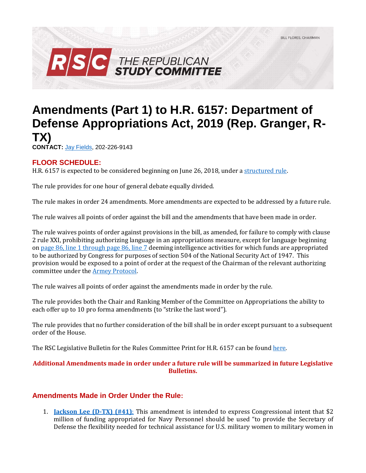

## **Amendments (Part 1) to H.R. 6157: Department of Defense Appropriations Act, 2019 (Rep. Granger, R-TX)**

**CONTACT:** [Jay Fields,](mailto:jay.fields@mail.house.gov) 202-226-9143

## **FLOOR SCHEDULE:**

H.R. 6157 is expected to be considered beginning on June 26, 2018, under [a structured rule.](https://rules.house.gov/sites/republicans.rules.house.gov/files/Rule_HR2083HR6157_0.pdf)

The rule provides for one hour of general debate equally divided.

The rule makes in order 24 amendments. More amendments are expected to be addressed by a future rule.

The rule waives all points of order against the bill and the amendments that have been made in order.

The rule waives points of order against provisions in the bill, as amended, for failure to comply with clause 2 rule XXI, prohibiting authorizing language in an appropriations measure, except for language beginning o[n page 86, line 1 through page 86, line 7](https://docs.house.gov/billsthisweek/20180625/BILLS-115HR__-RCP115-77.pdf#page=86) deeming intelligence activities for which funds are appropriated to be authorized by Congress for purposes of section 504 of the National Security Act of 1947. This provision would be exposed to a point of order at the request of the Chairman of the relevant authorizing committee under the [Armey Protocol.](https://rules.house.gov/sites/republicans.rules.house.gov/files/112-BT-Approps-20111013.pdf#page=2)

The rule waives all points of order against the amendments made in order by the rule.

The rule provides both the Chair and Ranking Member of the Committee on Appropriations the ability to each offer up to 10 pro forma amendments (to "strike the last word").

The rule provides that no further consideration of the bill shall be in order except pursuant to a subsequent order of the House.

The RSC Legislative Bulletin for the Rules Committee Print for H.R. 6157 can be foun[d here.](https://gallery.mailchimp.com/d4254037a343b683d142111e0/files/cb651cba-a525-4265-a11f-c4b211758003/LB_DOD_Approps_FY_2019_06252018_FINAL.02.pdf)

## **Additional Amendments made in order under a future rule will be summarized in future Legislative Bulletins.**

## **Amendments Made in Order Under the Rule:**

1. **[Jackson Lee \(D-TX\) \(#41\)](https://amendments-rules.house.gov/amendments/JACKSO_301_xml620181939483948.pdf)**: This amendment is intended to express Congressional intent that \$2 million of funding appropriated for Navy Personnel should be used "to provide the Secretary of Defense the flexibility needed for technical assistance for U.S. military women to military women in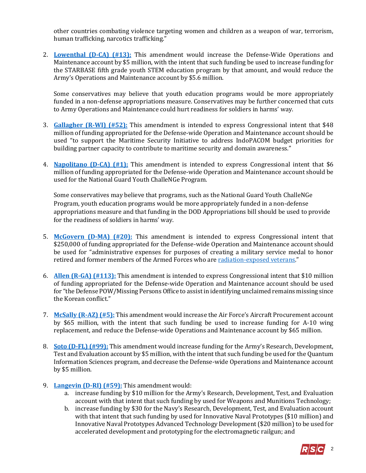other countries combating violence targeting women and children as a weapon of war, terrorism, human trafficking, narcotics trafficking."

2. **[Lowenthal \(D-CA\) \(#13\):](https://amendments-rules.house.gov/amendments/LOWENT_053_xml620181429402940.pdf)** This amendment would increase the Defense-Wide Operations and Maintenance account by \$5 million, with the intent that such funding be used to increase funding for the STARBASE fifth grade youth STEM education program by that amount, and would reduce the Army's Operations and Maintenance account by \$5.6 million.

Some conservatives may believe that youth education programs would be more appropriately funded in a non-defense appropriations measure. Conservatives may be further concerned that cuts to Army Operations and Maintenance could hurt readiness for soldiers in harms' way.

- 3. **[Gallagher \(R-WI\) \(#52\):](https://amendments-rules.house.gov/amendments/GALLWI_058_xml620182128522852.pdf)** This amendment is intended to express Congressional intent that \$48 million of funding appropriated for the Defense-wide Operation and Maintenance account should be used "to support the Maritime Security Initiative to address IndoPACOM budget priorities for building partner capacity to contribute to maritime security and domain awareness."
- 4. **[Napolitano \(D-CA\) \(#1\):](https://amendments-rules.house.gov/amendments/NAPOLI_023_xml619180913411341.pdf)** This amendment is intended to express Congressional intent that \$6 million of funding appropriated for the Defense-wide Operation and Maintenance account should be used for the National Guard Youth ChalleNGe Program.

Some conservatives may believe that programs, such as the National Guard Youth ChalleNGe Program, youth education programs would be more appropriately funded in a non-defense appropriations measure and that funding in the DOD Appropriations bill should be used to provide for the readiness of soldiers in harms' way.

- 5. **[McGovern \(D-MA\) \(#20\):](https://amendments-rules.house.gov/amendments/MCGOVE_032_xml620181625152515.pdf)** This amendment is intended to express Congressional intent that \$250,000 of funding appropriated for the Defense-wide Operation and Maintenance account should be used for "administrative expenses for purposes of creating a military service medal to honor retired and former members of the Armed Forces who are [radiation-exposed veterans](http://uscode.house.gov/view.xhtml?req=(title:38%20section:1112%20edition:prelim)%20OR%20(granuleid:USC-prelim-title38-section1112)&f=treesort&edition=prelim&num=0&jumpTo=true)."
- 6. **[Allen \(R-GA\) \(#113\):](https://amendments-rules.house.gov/amendments/ALLEGA_010_xml621181525432543.pdf)** This amendment is intended to express Congressional intent that \$10 million of funding appropriated for the Defense-wide Operation and Maintenance account should be used for "the Defense POW/Missing Persons Office to assist in identifying unclaimed remains missing since the Korean conflict."
- 7. **[McSally \(R-AZ\) \(#5\):](https://amendments-rules.house.gov/amendments/MCSALL_102_A-10%20wings%20(Revised)625181435413541.pdf)** This amendment would increase the Air Force's Aircraft Procurement account by \$65 million, with the intent that such funding be used to increase funding for A-10 wing replacement, and reduce the Defense-wide Operations and Maintenance account by \$65 million.
- 8. **[Soto \(D-FL\) \(#99\):](https://amendments-rules.house.gov/amendments/SOTO_136_xml62118093901391.pdf)** This amendment would increase funding for the Army's Research, Development, Test and Evaluation account by \$5 million, with the intent that such funding be used for the Quantum Information Sciences program, and decrease the Defense-wide Operations and Maintenance account by \$5 million.
- 9. **[Langevin \(D-RI\)](https://amendments-rules.house.gov/amendments/LANGEV_097_xml62118085607567.pdf) (#59):** This amendment would:
	- a. increase funding by \$10 million for the Army's Research, Development, Test, and Evaluation account with that intent that such funding by used for Weapons and Munitions Technology;
	- b. increase funding by \$30 for the Navy's Research, Development, Test, and Evaluation account with that intent that such funding by used for Innovative Naval Prototypes (\$10 million) and Innovative Naval Prototypes Advanced Technology Development (\$20 million) to be used for accelerated development and prototyping for the electromagnetic railgun; and

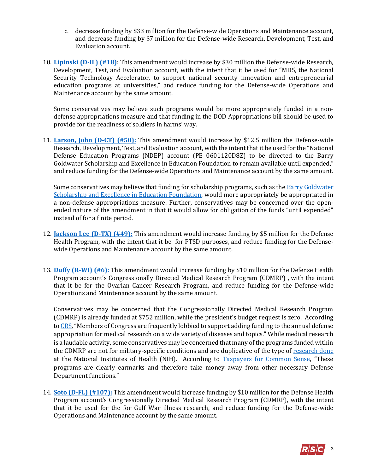- c. decrease funding by \$33 million for the Defense-wide Operations and Maintenance account, and decrease funding by \$7 million for the Defense-wide Research, Development, Test, and Evaluation account.
- 10. **[Lipinski \(D-IL\) \(#18\)](https://amendments-rules.house.gov/amendments/LIPINS_106_xml%20$30M%20version62018162009209.pdf)**: This amendment would increase by \$30 million the Defense-wide Research, Development, Test, and Evaluation account, with the intent that it be used for "MD5, the National Security Technology Accelerator, to support national security innovation and entrepreneurial education programs at universities," and reduce funding for the Defense-wide Operations and Maintenance account by the same amount.

Some conservatives may believe such programs would be more appropriately funded in a nondefense appropriations measure and that funding in the DOD Appropriations bill should be used to provide for the readiness of soldiers in harms' way.

11. **[Larson, John \(D-CT\)](https://amendments-rules.house.gov/amendments/LARSON_041_xml62018203900390.pdf) (#50):** This amendment would increase by \$12.5 million the Defense-wide Research, Development, Test, and Evaluation account, with the intent that it be used for the "National Defense Education Programs (NDEP) account (PE 0601120D8Z) to be directed to the Barry Goldwater Scholarship and Excellence in Education Foundation to remain available until expended," and reduce funding for the Defense-wide Operations and Maintenance account by the same amount.

Some conservatives may believe that funding for scholarship programs, such as the **Barry Goldwater** [Scholarship and Excellence in Education Foundation,](https://goldwater.scholarsapply.org/) would more appropriately be appropriated in a non-defense appropriations measure. Further, conservatives may be concerned over the openended nature of the amendment in that it would allow for obligation of the funds "until expended" instead of for a finite period.

- 12. **[Jackson Lee \(D-TX\) \(#49\):](https://amendments-rules.house.gov/amendments/JACKSO_311_xml620181950215021.pdf)** This amendment would increase funding by \$5 million for the Defense Health Program, with the intent that it be for PTSD purposes, and reduce funding for the Defensewide Operations and Maintenance account by the same amount.
- 13. **[Duffy \(R-WI\)](https://amendments-rules.house.gov/amendments/DUFFY_104_xml62018100542542.pdf) (#6):** This amendment would increase funding by \$10 million for the Defense Health Program account's Congressionally Directed Medical Research Program (CDMRP) , with the intent that it be for the Ovarian Cancer Research Program, and reduce funding for the Defense-wide Operations and Maintenance account by the same amount.

Conservatives may be concerned that the Congressionally Directed Medical Research Program (CDMRP) is already funded at \$752 million, while the president's budget request is zero. According t[o CRS](http://www.crs.gov/Reports/IF10349?source=search&guid=0e87c51078bc4599ab29d3c961428341&index=0), "Members of Congress are frequently lobbied to support adding funding to the annual defense appropriation for medical research on a wide variety of diseases and topics." While medical research is a laudable activity, some conservatives may be concerned that many of the programs funded within the CDMRP are not for military-specific conditions and are duplicative of the type of [research done](https://report.nih.gov/categorical_spending.aspx) at the National Institutes of Health (NIH). According to [Taxpayers for Common Sense](http://public.cq.com/docs/weeklyreport/weeklyreport-000004132596.html), "These programs are clearly earmarks and therefore take money away from other necessary Defense Department functions."

14. **[Soto \(D-FL\) \(#107\):](https://amendments-rules.house.gov/amendments/SOTO_134_xml62018180017017.pdf)** This amendment would increase funding by \$10 million for the Defense Health Program account's Congressionally Directed Medical Research Program (CDMRP), with the intent that it be used for the for Gulf War illness research, and reduce funding for the Defense-wide Operations and Maintenance account by the same amount.

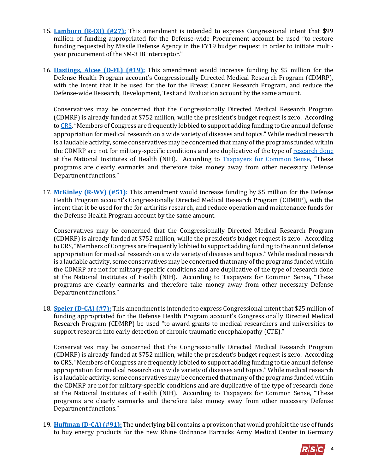- 15. **[Lamborn \(R-CO\)](https://amendments-rules.house.gov/amendments/LAMBOR_050_xml62018172903293.pdf) (#27):** This amendment is intended to express Congressional intent that \$99 million of funding appropriated for the Defense-wide Procurement account be used "to restore funding requested by Missile Defense Agency in the FY19 budget request in order to initiate multiyear procurement of the SM-3 IB interceptor."
- 16. **[Hastings, Alcee \(D-FL\) \(#19\):](https://amendments-rules.house.gov/amendments/HASTFL_058_xml620181555455545.pdf)** This amendment would increase funding by \$5 million for the Defense Health Program account's Congressionally Directed Medical Research Program (CDMRP), with the intent that it be used for the for the Breast Cancer Research Program, and reduce the Defense-wide Research, Development, Test and Evaluation account by the same amount.

Conservatives may be concerned that the Congressionally Directed Medical Research Program (CDMRP) is already funded at \$752 million, while the president's budget request is zero. According t[o CRS](http://www.crs.gov/Reports/IF10349?source=search&guid=0e87c51078bc4599ab29d3c961428341&index=0), "Members of Congress are frequently lobbied to support adding funding to the annual defense appropriation for medical research on a wide variety of diseases and topics." While medical research is a laudable activity, some conservatives may be concerned that many of the programs funded within the CDMRP are not for military-specific conditions and are duplicative of the type of [research done](https://report.nih.gov/categorical_spending.aspx) at the National Institutes of Health (NIH). According to [Taxpayers for Common Sense](http://public.cq.com/docs/weeklyreport/weeklyreport-000004132596.html), "These programs are clearly earmarks and therefore take money away from other necessary Defense Department functions."

17. **[McKinley \(R-WV\)](https://amendments-rules.house.gov/amendments/MCKINL_075_xml621180839403940.pdf) (#51):** This amendment would increase funding by \$5 million for the Defense Health Program account's Congressionally Directed Medical Research Program (CDMRP), with the intent that it be used for the for arthritis research, and reduce operation and maintenance funds for the Defense Health Program account by the same amount.

Conservatives may be concerned that the Congressionally Directed Medical Research Program (CDMRP) is already funded at \$752 million, while the president's budget request is zero. According to CRS, "Members of Congress are frequently lobbied to support adding funding to the annual defense appropriation for medical research on a wide variety of diseases and topics." While medical research is a laudable activity, some conservatives may be concerned that many of the programs funded within the CDMRP are not for military-specific conditions and are duplicative of the type of research done at the National Institutes of Health (NIH). According to Taxpayers for Common Sense, "These programs are clearly earmarks and therefore take money away from other necessary Defense Department functions."

18. **[Speier \(D-CA\) \(#7\):](https://amendments-rules.house.gov/amendments/SPEIER_163_xml620181150545054.pdf)** This amendment is intended to express Congressional intent that \$25 million of funding appropriated for the Defense Health Program account's Congressionally Directed Medical Research Program (CDMRP) be used "to award grants to medical researchers and universities to support research into early detection of chronic traumatic encephalopathy (CTE)."

Conservatives may be concerned that the Congressionally Directed Medical Research Program (CDMRP) is already funded at \$752 million, while the president's budget request is zero. According to CRS, "Members of Congress are frequently lobbied to support adding funding to the annual defense appropriation for medical research on a wide variety of diseases and topics." While medical research is a laudable activity, some conservatives may be concerned that many of the programs funded within the CDMRP are not for military-specific conditions and are duplicative of the type of research done at the National Institutes of Health (NIH). According to Taxpayers for Common Sense, "These programs are clearly earmarks and therefore take money away from other necessary Defense Department functions."

19. **[Huffman \(D-CA\) \(#91\):](https://amendments-rules.house.gov/amendments/HUFFCA_152_xml62118093604364.pdf)** The underlying bill contains a provision that would prohibit the use of funds to buy energy products for the new Rhine Ordnance Barracks Army Medical Center in Germany